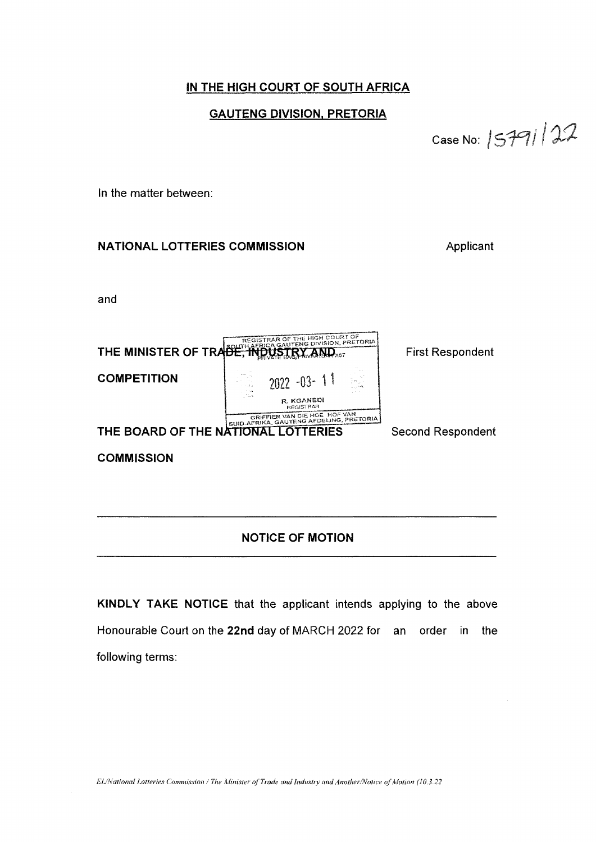# *IN THE HIGH COURT OF SOUTH AFRICA*

## *GAUTENG DIVISION, PRETORIA*

*Case No : I*

*in the matter between:*

# *NATIONAL LOTTERIES COMMISSION Applicant*

*and*

| REGISTRAR OF THE HIGH COURT OF<br>THE MINISTER OF TRADE, INDUSTRY AND AST |                                                                         | <b>First Respondent</b>  |
|---------------------------------------------------------------------------|-------------------------------------------------------------------------|--------------------------|
| <b>COMPETITION</b>                                                        | $-2022 - 03 - 11$                                                       |                          |
|                                                                           | R. KGANEDI<br><b>REGISTRAR</b>                                          |                          |
|                                                                           | GRIFFIER VAN DIE HOË HOF VAN<br>SUID-AFRIKA, GAUTENG AFDELING, PRETORIA |                          |
| THE BOARD OF THE NATIONAL LOTTERIES                                       |                                                                         | <b>Second Respondent</b> |
| <b>COMMISSION</b>                                                         |                                                                         |                          |

# *NOTICE OF MOTION*

*KINDLY TAKE NOTICE that the applicant intends applying to the above Honourable Court on the 22nd day of MARCH 2022 for an order in the following terms:*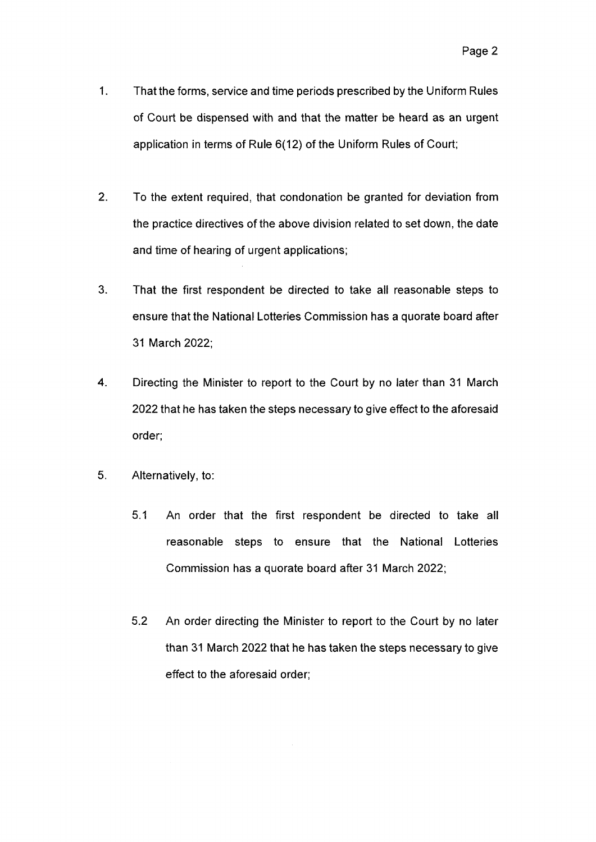- *1. That the forms, service and time periods prescribed by the Uniform Rules of Court be dispensed with and that the matter be heard as an urgent application in terms of Rule 6(12) of the Uniform Rules of Court;*
- *2. To the extent required, that condonation be granted for deviation from the practice directives of the above division related to set down, the date and time of hearing of urgent applications;*
- *3. That the first respondent be directed to take all reasonable steps to ensure that the National Lotteries Commission has <sup>a</sup> quorate board after 31 March 2022;*
- *4. Directing the Minister to report to the Court by no later than 31 March 2022 that he has taken the steps necessary to give effect to the aforesaid order;*
- *5. Alternatively, to:*
	- *5.1 An order that the first respondent be directed to take all reasonable steps to ensure that the National Lotteries Commission has <sup>a</sup> quorate board after 31 March 2022;*
	- *5.2 An order directing the Minister to report to the Court by no later than 31 March 2022 that he has taken the steps necessary to give effect to the aforesaid order;*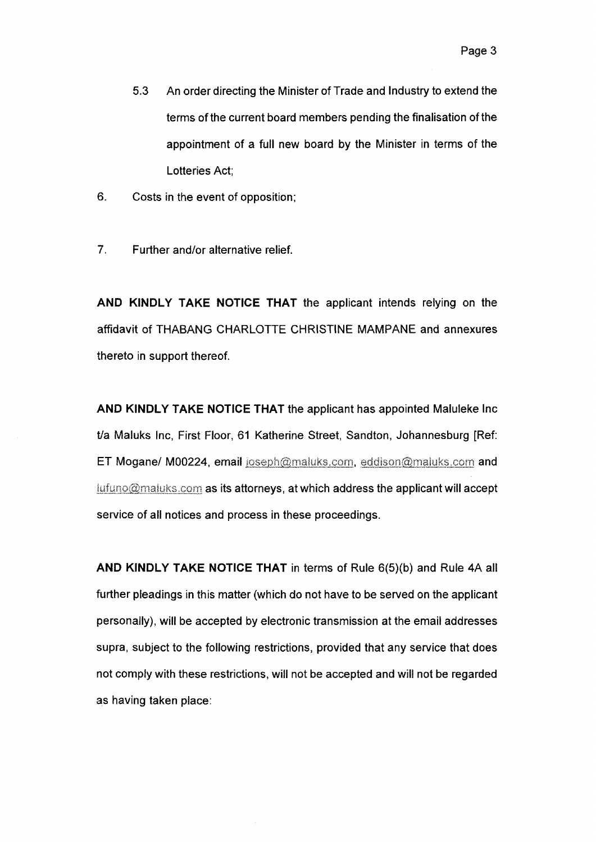- *5.3 An order directing the Minister of Trade and Industry to extend the terms of the current board members pending the finalisation ofthe appointment of <sup>a</sup> full new board by the Minister in terms of the Lotteries Act;*
- *6. Costs in the event of opposition;*
- *7. Further and/or alternative relief.*

*AND KINDLY TAKE NOTICE THAT the applicant intends relying on the affidavit of THABANG CHARLOTTE CHRISTINE MAMPANE and annexures thereto in support thereof.*

*AND KINDLY TAKE NOTICE THAT the applicant has appointed Maluleke Inc t/a Maluks Inc, First Floor, 61 Katherine Street, Sandton, Johannesburg [Ref: ET Mogane/ M00224, email joseph@maiuks.com, eddison@maiuks.com and iufuno@majuks.com as its attorneys, at which address the applicant will accept service of all notices and process in these proceedings.*

*AND KINDLY TAKE NOTICE THAT in terms of Rule 6(5)(b) and Rule 4A all further pleadings in this matter (which do not have to be served on the applicant personally), will be accepted by electronic transmission at the email addresses supra, subject to the following restrictions, provided that any service that does not comply with these restrictions, will not be accepted and will not be regarded as having taken place:*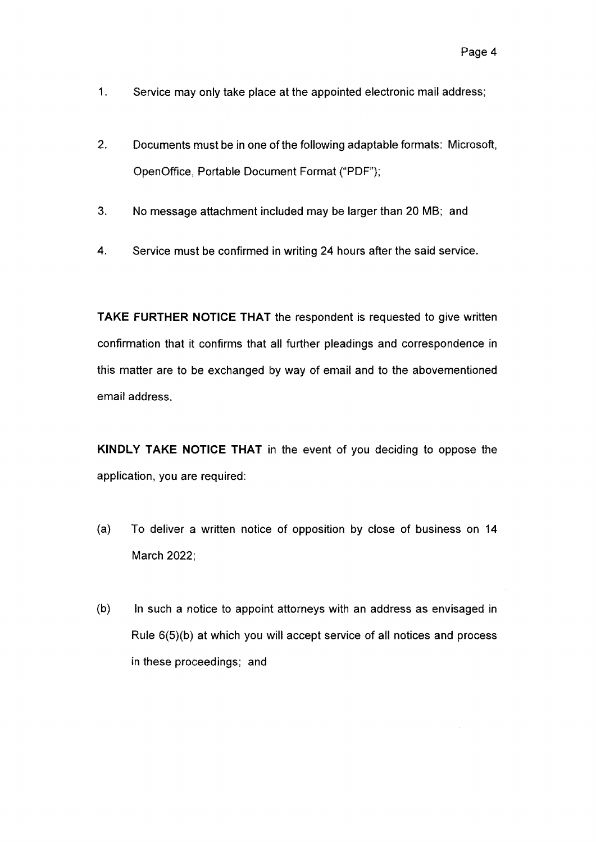- *1. Service may only take place at the appointed electronic mail address;*
- *2. Documents must be in one of the following adaptable formats: Microsoft, OpenOffice, Portable Document Format ("PDF");*
- *3. No message attachment included may be larger than 20 MB; and*
- *4. Service must be confirmed in writing 24 hours after the said service.*

*TAKE FURTHER NOTICE THAT the respondent is requested to give written confirmation that it confirms that all further pleadings and correspondence in this matter are to be exchanged by way of email and to the abovementioned email address.*

*KINDLY TAKE NOTICE THAT in the event of you deciding to oppose the application, you are required:*

- *(a) To deliver <sup>a</sup> written notice of opposition by close of business on 14 March 2022;*
- *(b) In such <sup>a</sup> notice to appoint attorneys with an address as envisaged in Rule 6(5)(b) at which you will accept service of all notices and process in these proceedings; and*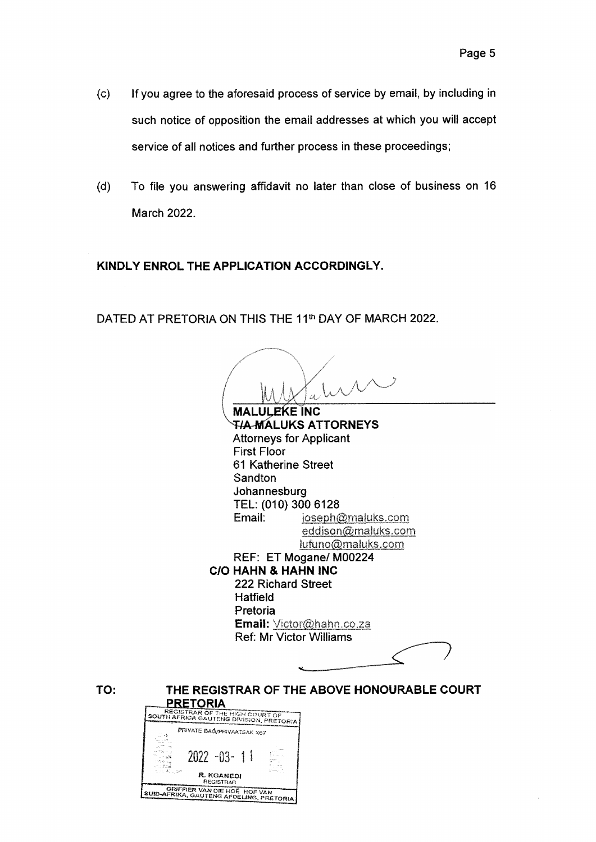- *(c) If you agree to the aforesaid process of service by email, by including in such notice of opposition the email addresses at which you will accept service of all notices and further process in these proceedings;*
- *(d) To file you answering affidavit no later than close of business on 16 March 2022.*

# *KINDLY ENROL THE APPLICATION ACCORDINGLY.*

*2022 -03- 1 !*

*Ft. KGANEOI registrar* **GRIFFIER VAN DIE HOË HOF VAN**<br>SUID-AFRIKA, GAUTENG AFDELING, PRETORIA

*DATED AT PRETORIA ON THIS THE 11th DAY OF MARCH 2022.*

**MALULEKE INC T/A-MALUKS ATTORNEYS Attorneys for Applicant** *First Floor 61 Katherine Street Sandton Johannesburg TEL: (010) 300 6128 Email: ioseph@maluks.com eddison@maluks.com iufuno@maluks.com REF: ET Mogane/M00224 C/O HAHN & HAHN INC 222 Richard Street Hatfield Pretoria Email: Victor@hahn xo.za Ref: Mr Victor Williams THE REGISTRAR OF THE ABOVE HONOURABLE COURT PRETORIA SOI OF THE H,GH <sup>c</sup>'ourtof™~~ S^JTH^FRiCA GAUTENG DiVISiON. PRETORIA rs PRIVATE* **BAG/PRIVAATSAK** X67

*TO:*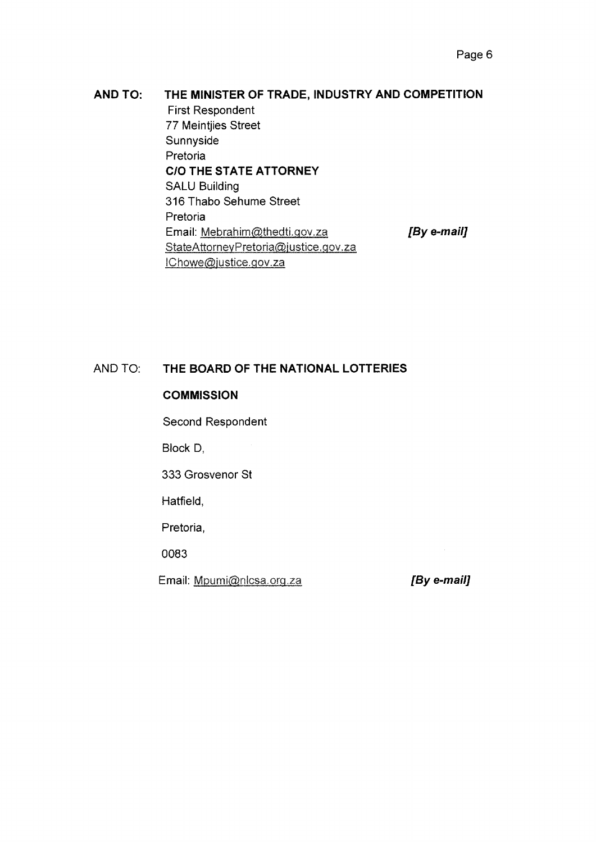#### *AND TO: THE MINISTER OF TRADE, INDUSTRY AND COMPETITION*

*First Respondent 77 Meintjies Street Sunnyside Pretoria CIO THE STATE ATTORNEY SALU Building 316 Thabo Sehume Street Pretoria Email: Mebrahim@thedti.gov.za [By e-mail] StateAttorneyPretoria@iustice.gov.za I Chowe@justice,gov,za*

#### *AND TO: THE BOARD OF THE NATIONAL LOTTERIES*

## *COMMISSION*

*Second Respondent*

*Block D,*

*333 Grosvenor St*

*Hatfield,*

*Pretoria,*

*0083*

Email: Mpumi@nlcsa.org.za

*[By e-mail]*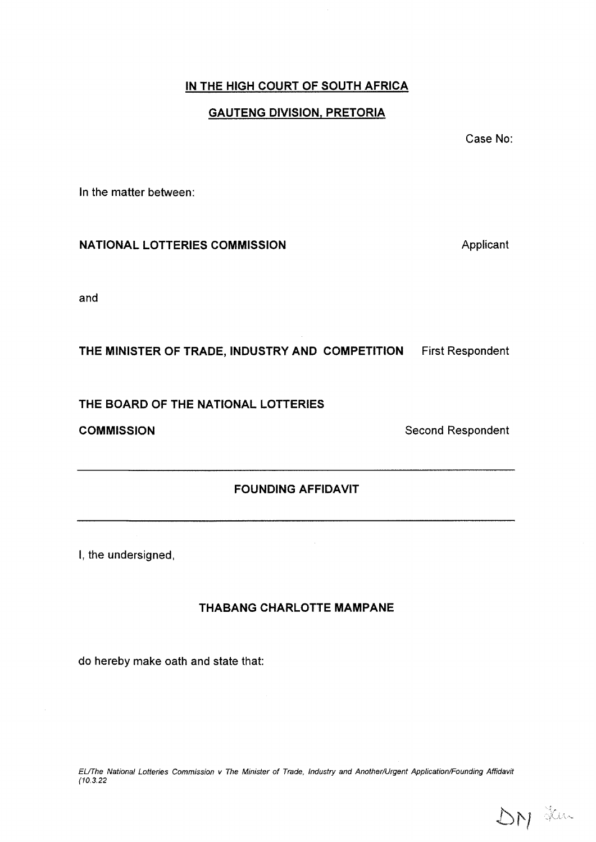# *IN THE HIGH COURT OF SOUTH AFRICA*

# *GAUTENG DIVISION, PRETORIA*

*Case No:*

*In the matter between:*

### *NATIONAL LOTTERIES COMMISSION Applicant*

*and*

*THE MINISTER OF TRADE, INDUSTRY AND COMPETITION First Respondent*

*THE BOARD OF THE NATIONAL LOTTERIES*

*COMMISSION Second Respondent*

# *FOUNDING AFFIDAVIT*

*I, the undersigned,*

# *THABANG CHARLOTTE MAMPANE*

*do hereby make oath and state that:*

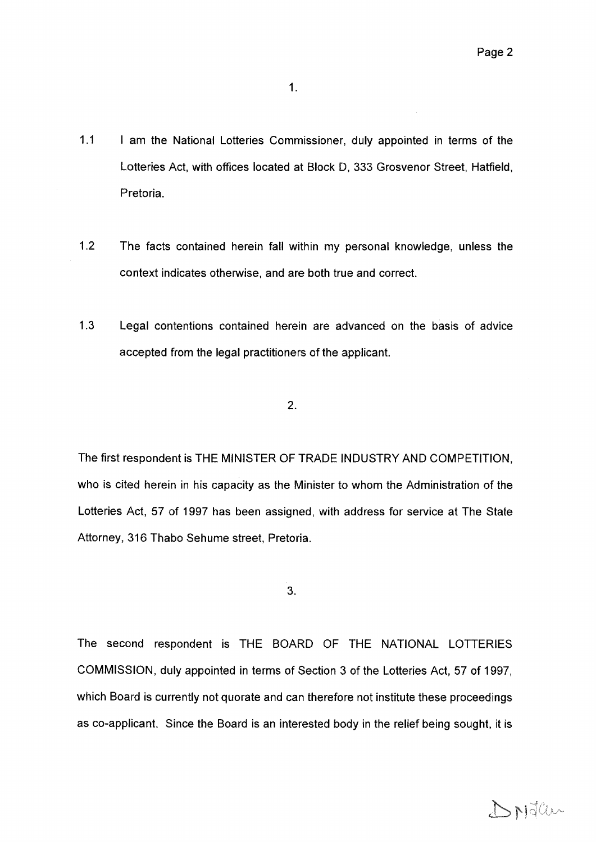*1.1 <sup>I</sup> am the National Lotteries Commissioner, duly appointed in terms of the Lotteries Act, with offices located at Block D, 333 Grosvenor Street, Hatfield, Pretoria.*

*1,*

- *1.2 The facts contained herein fall within my personal knowledge, unless the context indicates otherwise, and are both true and correct.*
- *1.3 Legal contentions contained herein are advanced on the basis of advice accepted from the legal practitioners of the applicant.*

*2.*

*The first respondent is THE MINISTER OF TRADE INDUSTRY AND COMPETITION, who is cited herein in his capacity as the Minister to whom the Administration of the Lotteries Act, 57 of 1997 has been assigned, with address for service at The State Attorney, 316 Thabo Sehume street, Pretoria.*

*3.*

*The second respondent is THE BOARD OF THE NATIONAL LOTTERIES COMMISSION, duly appointed in terms of Section 3 of the Lotteries Act, 57 of 1997, which Board is currently not quorate and can therefore not institute these proceedings as co-applicant. Since the Board is an interested body in the relief being sought, it is*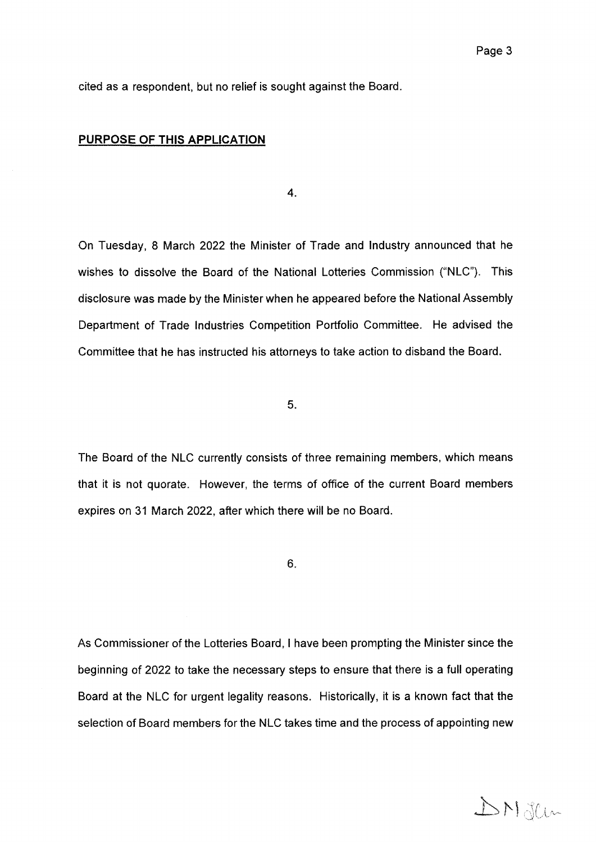*cited as <sup>a</sup> respondent, but no relief is sought against the Board,*

### *PURPOSE OF THIS APPLICATION*

*4.*

*On Tuesday, 8 March 2022 the Minister of Trade and Industry announced that he wishes to dissolve the Board of the National Lotteries Commission ("NLC"). This disclosure was made by the Minister when he appeared before the National Assembly Department of Trade Industries Competition Portfolio Committee. He advised the Committee that he has instructed his attorneys to take action to disband the Board.*

*5.*

*The Board of the NLC currently consists of three remaining members, which means that it is not quorate. However, the terms of office of the current Board members expires on 31 March 2022, after which there will be no Board,*

*6.*

*As Commissioner of the Lotteries Board, I have been prompting the Minister since the beginning of 2022 to take the necessary steps to ensure that there is <sup>a</sup> full operating Board at the NLC for urgent legality reasons. Historically, it is <sup>a</sup> known fact that the selection of Board members for the NLC takes time and the process of appointing new*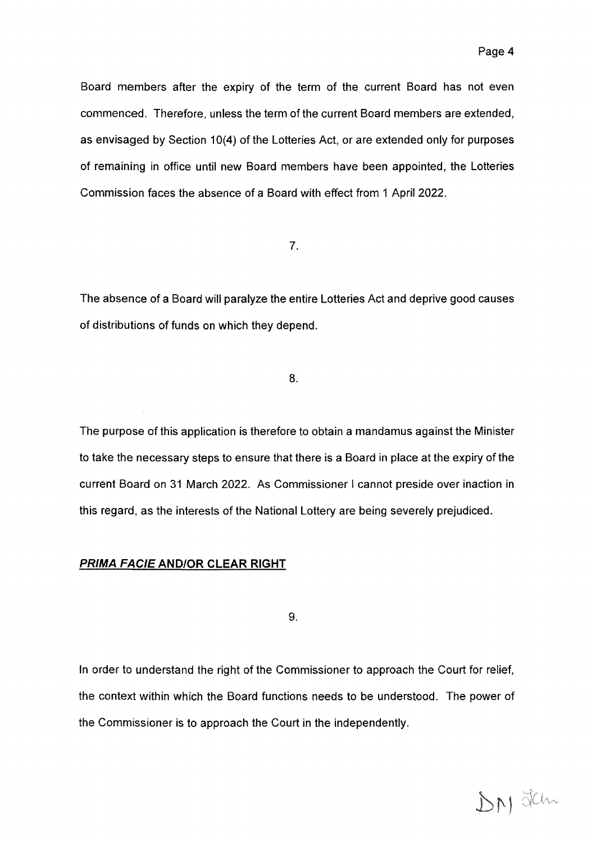*Board members after the expiry of the term of the current Board has not even commenced. Therefore, unless the term of the current Board members are extended, as envisaged by Section 10(4) of the Lotteries Act, or are extended only for purposes of remaining in office until new Board members have been appointed, the Lotteries Commission faces the absence of <sup>a</sup> Board with effect from <sup>1</sup> April 2022,*

*7*

*The absence of <sup>a</sup> Board will paralyze the entire Lotteries Act and deprive good causes of distributions of funds on which they depend.*

*8*

*The purpose of this application is therefore to obtain <sup>a</sup> mandamus against the Minister to take the necessary steps to ensure that there is <sup>a</sup> Board in place at the expiry of the current Board on 31 March 2022. As Commissioner I cannot preside over inaction in this regard, as the interests of the National Lottery are being severely prejudiced,*

#### *PRIMA FAC/E AND/OR CLEAR RIGHT*

*9*

*In order to understand the right of the Commissioner to approach the Court for relief, the context within which the Board functions needs to be understood, The power of the Commissioner is to approach the Court in the independently.*

DN Jem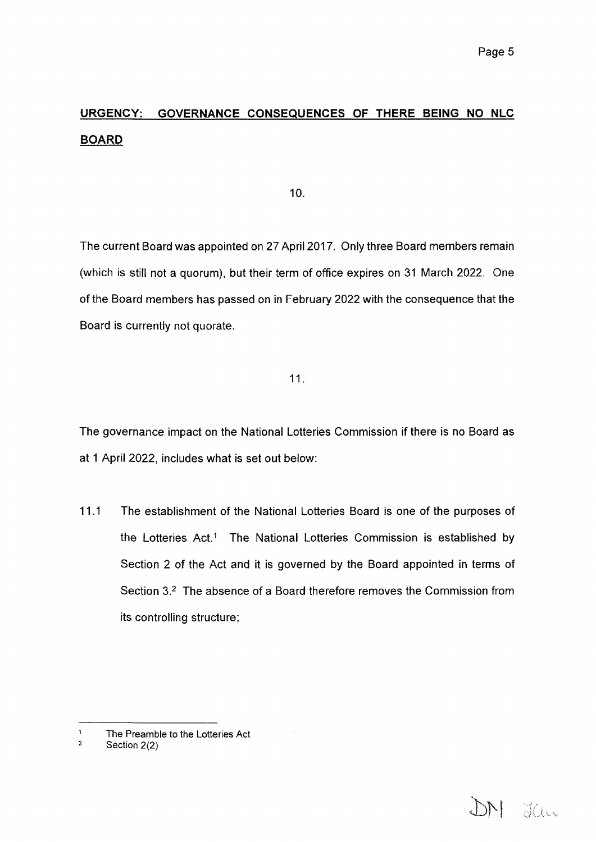DN Jan

# *URGENCY: GOVERNANCE CONSEQUENCES OF THERE BEING NO NLC BOARD*

*10.*

*The current Board was appointed on 27 April 2017. Only three Board members remain (which is still not <sup>a</sup> quorum), but their term of office expires on <sup>31</sup> March 2022. One of the Board members has passed on in February 2022 with the consequence that the Board is currently not quorate.*

*11.*

*The governance impact on the National Lotteries Commission if there is no Board as at 1 April 2022, includes what is set out below:*

*11.1 The establishment of the National Lotteries Board is one of the purposes of the Lotteries Act.1 The National Lotteries Commission is established by Section 2 of the Act and it is governed by the Board appointed in terms of Section 3.2 The absence of <sup>a</sup> Board therefore removes the Commission from its controlling structure;*

 $\ddagger$ *The Preamble to the Lotteries Act*

 $\overline{2}$ *Section 2(2)*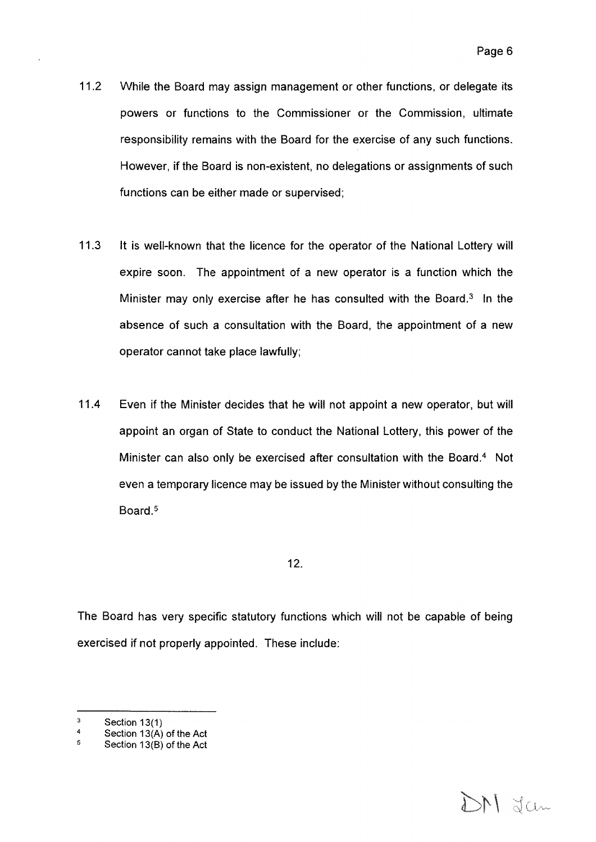- *11.2 While the Board may assign management or other functions, or delegate its powers or functions to the Commissioner or the Commission, ultimate responsibility remains with the Board for the exercise of any such functions. However, if the Board is non-existent, no delegations or assignments of such functions can be either made or supervised;*
- *11.3 It is well-known that the licence for the operator of the National Lottery will expire soon. The appointment of <sup>a</sup> new operator is <sup>a</sup> function which the Minister may only exercise after he has consulted with the Board.3 In the absence of such <sup>a</sup> consultation with the Board, the appointment of <sup>a</sup> new operator cannot take place lawfully;*
- *11.4 Even if the Minister decides that he will not appoint <sup>a</sup> new operator, but will appoint an organ of State to conduct the National Lottery, this power of the Minister can also only be exercised after consultation with the Board.4 Not even <sup>a</sup> temporary licence may be issued by the Minister without consulting the Board.5*

*The Board has very specific statutory functions which will not be capable of being exercised if not properly appointed. These include:*



 $\overline{3}$ *Section 13(1)*

 $\overline{4}$ *Section 13(A) of the Act*

 $\overline{5}$ *Section 13(B) of the Act*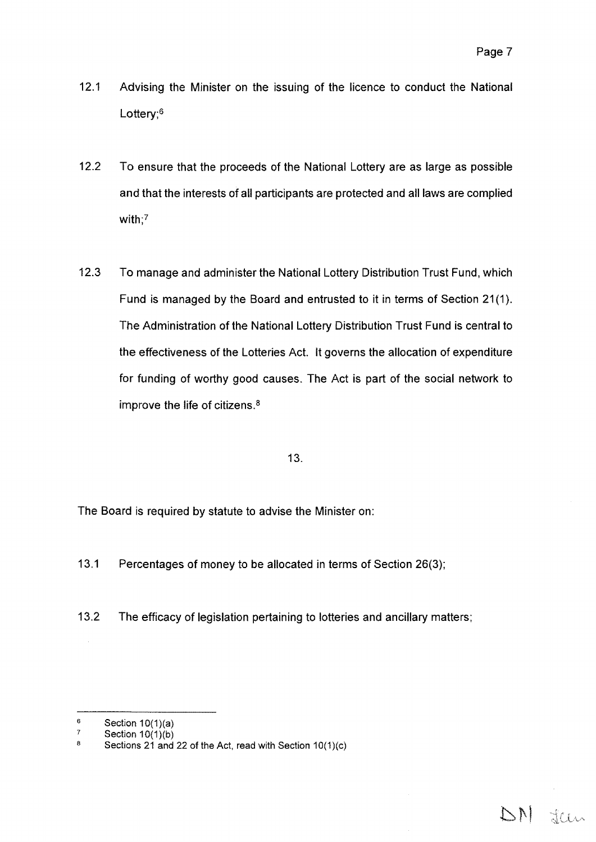DN Jeen

- *12.1 Advising the Minister on the issuing of the licence to conduct the National Lottery;6*
- *12.2 To ensure that the proceeds of the National Lottery are as large as possible and that the interests of all participants are protected and all laws are complied with;7*
- *12.3 To manage and administer the National Lottery Distribution Trust Fund, which Fund is managed by the Board and entrusted to it in terms of Section 21(1). The Administration of the National Lottery Distribution Trust Fund is central to the effectiveness of the Lotteries Act. It governs the allocation of expenditure for funding of worthy good causes. The Act is part of the social network to improve the life of citizens.8*

### *13.*

*The Board is required by statute to advise the Minister on:*

- *13.1 Percentages of money to be allocated in terms of Section 26(3);*
- *13.2 The efficacy of legislation pertaining to lotteries and ancillary matters;*

 $\bf 6$ *Section 10(1)(a)*

 $\boldsymbol{7}$ *Section 10(1)(b)*

*Sections 21 and 22 of the Act, read with Section 10(1)(c) <sup>8</sup>*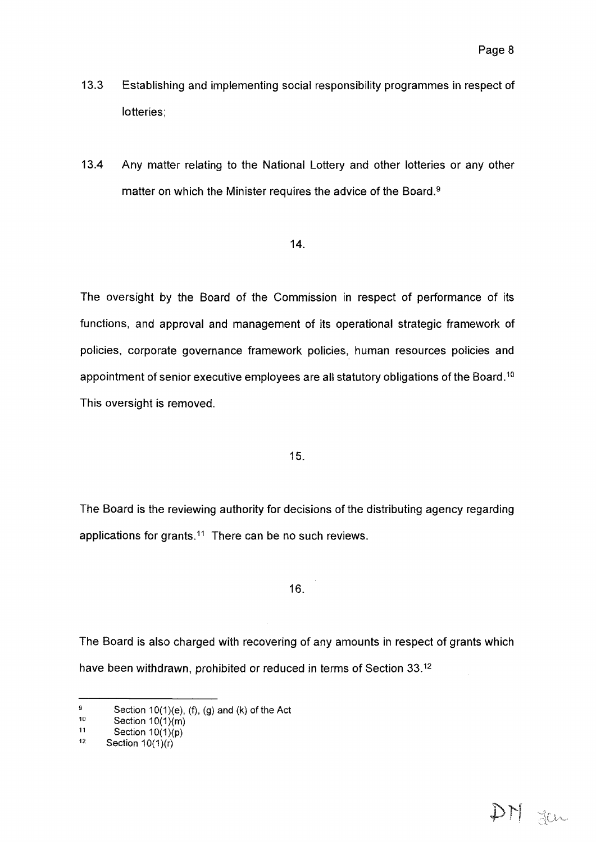- *13.3 Establishing and implementing social responsibility programmes in respect of lotteries;*
- *13.4 Any matter relating to the National Lottery and other lotteries or any other matter on which the Minister requires the advice of the Board.9*

*The oversight by the Board of the Commission in respect of performance of its functions, and approval and management of its operational strategic framework of policies, corporate governance framework policies, human resources policies and appointment of senior executive employees are all statutory obligations of the Board.10 This oversight is removed.*

### *15.*

*The Board is the reviewing authority for decisions of the distributing agency regarding applications for grants.11 There can be no such reviews.*

# *16.*

*The Board is also charged with recovering of any amounts in respect of grants which have been withdrawn, prohibited or reduced in terms of Section 33.12*

 $\overline{9}$ *Section 10(1){e), (f), (g) and (k) of the Act*

 $10$ *Section 10(1)(m)*

 $11$ *Section 10(1>(p)*

 $12$ *Section 10(1)(r)*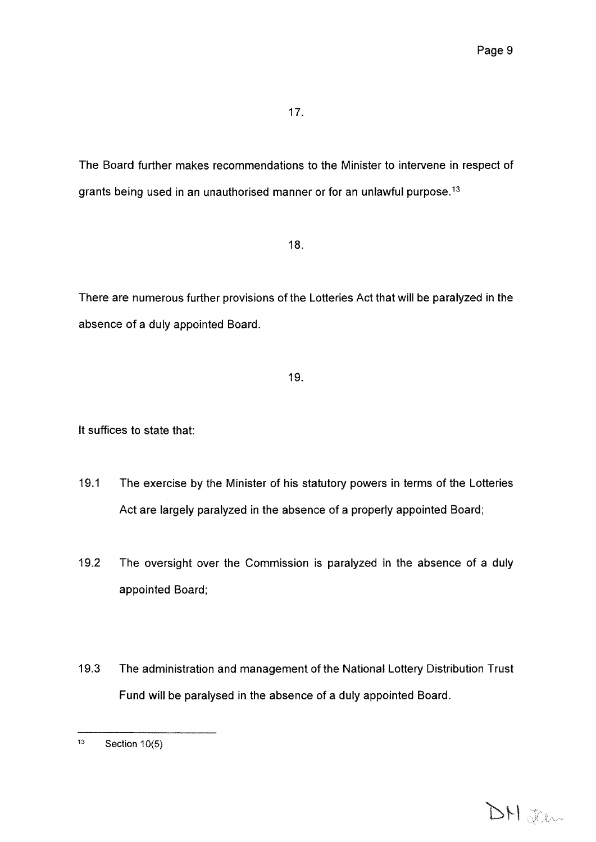*The Board further makes recommendations to the Minister to intervene in respect of grants being used in an unauthorised manner or for an unlawful purpose.13*

*18.*

*There are numerous further provisions of the Lotteries Act that will be paralyzed in the absence of <sup>a</sup> duly appointed Board.*

### *19.*

*It suffices to state that:*

- *19.1 The exercise by the Minister of his statutory powers in terms of the Lotteries Act are largely paralyzed in the absence of <sup>a</sup> properly appointed Board;*
- *19.2 The oversight over the Commission is paralyzed in the absence of <sup>a</sup> duly appointed Board;*
- *19.3 The administration and management of the National Lottery Distribution Trust Fund will be paralysed in the absence of <sup>a</sup> duly appointed Board.*

*<sup>13</sup> Section 10(5)*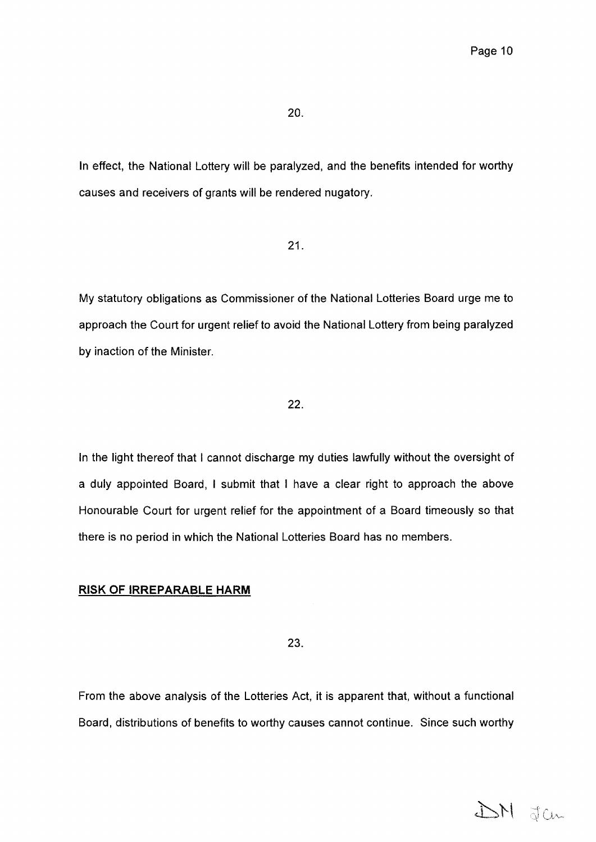*In effect, the National Lottery will be paralyzed, and the benefits intended for worthy causes and receivers of grants will be rendered nugatory.*

*21*

*My statutory obligations as Commissioner of the National Lotteries Board urge me to approach the Court for urgent relief to avoid the National Lottery from being paralyzed by inaction of the Minister.*

# *22*

*In the light thereof that I cannot discharge my duties lawfully without the oversight of <sup>a</sup> duly appointed Board, I submit that I have <sup>a</sup> clear right to approach the above Honourable Court for urgent relief for the appointment of <sup>a</sup> Board timeously so that there is no period in which the National Lotteries Board has no members.*

### *RISK OF IRREPARABLE HARM*

*23*

*From the above analysis of the Lotteries Act, it is apparent that, without <sup>a</sup> functional Board, distributions of benefits to worthy causes cannot continue. Since such worthy*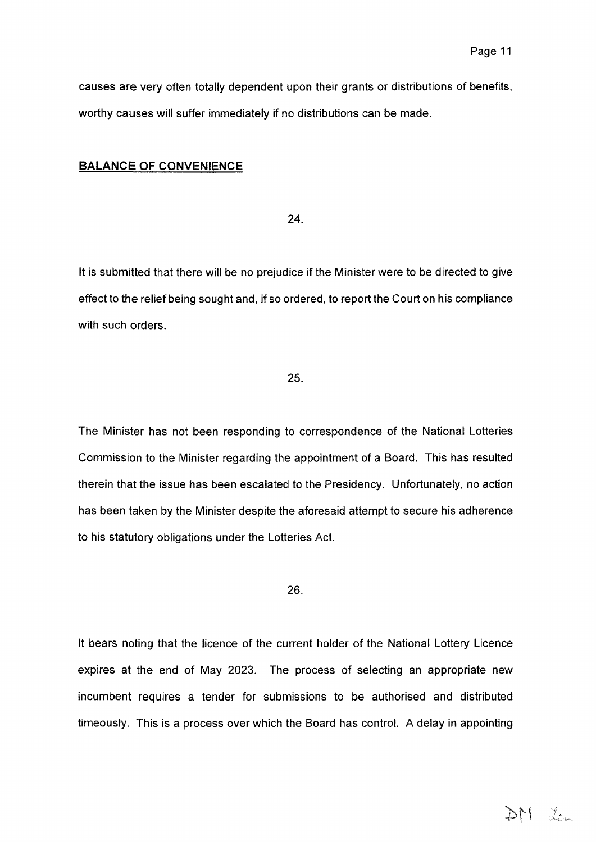*causes are very often totally dependent upon their grants or distributions of benefits, worthy causes will suffer immediately if no distributions can be made.*

#### *BALANCE OF CONVENIENCE*

*24.*

*It is submitted that there will be no prejudice if the Minister were to be directed to give effect to the relief being sought and, if so ordered, to report the Court on his compliance with such orders.*

#### *25.*

*The Minister has not been responding to correspondence of the National Lotteries Commission to the Minister regarding the appointment of <sup>a</sup> Board. This has resulted therein that the issue has been escalated to the Presidency. Unfortunately, no action has been taken by the Minister despite the aforesaid attempt to secure his adherence to his statutory obligations under the Lotteries Act.*

*26.*

*It bears noting that the licence of the current holder of the National Lottery Licence expires at the end of May 2023. The process of selecting an appropriate new incumbent requires <sup>a</sup> tender for submissions to be authorised and distributed timeously. This is <sup>a</sup> process over which the Board has control. A delay in appointing*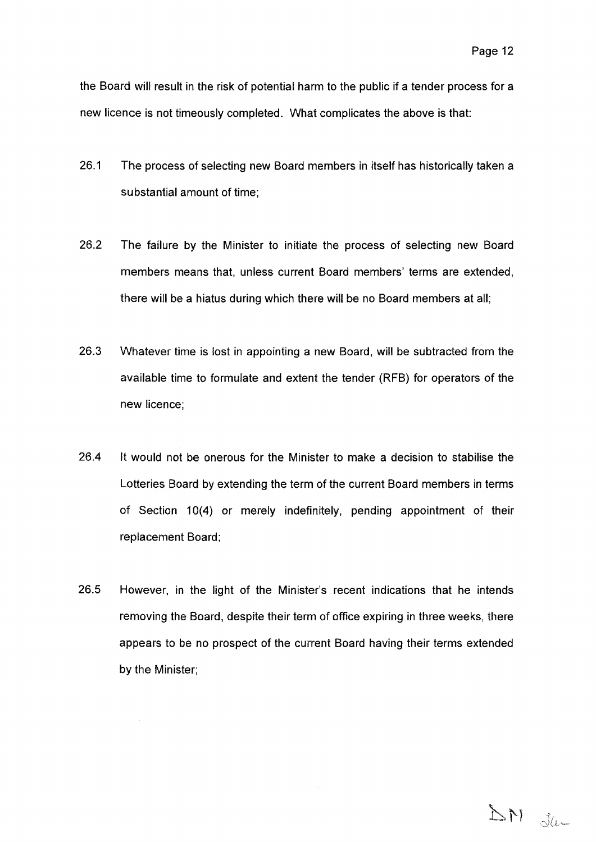*the Board wit! result in the risk of potential harm to the public if <sup>a</sup> tender process for <sup>a</sup> new licence is not timeously completed. What complicates the above is that:*

- *26.1 The process of selecting new Board members in itself has historically taken <sup>a</sup> substantial amount of time;*
- *26.2 The failure by the Minister to initiate the process of selecting new Board members means that, unless current Board members' terms are extended, there will be <sup>a</sup> hiatus during which there will be no Board members at all;*
- *26.3 Whatever time is lost in appointing <sup>a</sup> new Board, will be subtracted from the available time to formulate and extent the tender (RFB) for operators of the new licence;*
- *26.4 It would not be onerous for the Minister to make a decision to stabilise the Lotteries Board by extending the term of the current Board members in terms of Section 10(4) or merely indefinitely, pending appointment of their replacement Board;*

*26.5 However, in the light of the Minister'<sup>s</sup> recent indications that he intends removing the Board, despite their term of office expiring in three weeks, there appears to be no prospect of the current Board having their terms extended by the Minister;*

DN Ja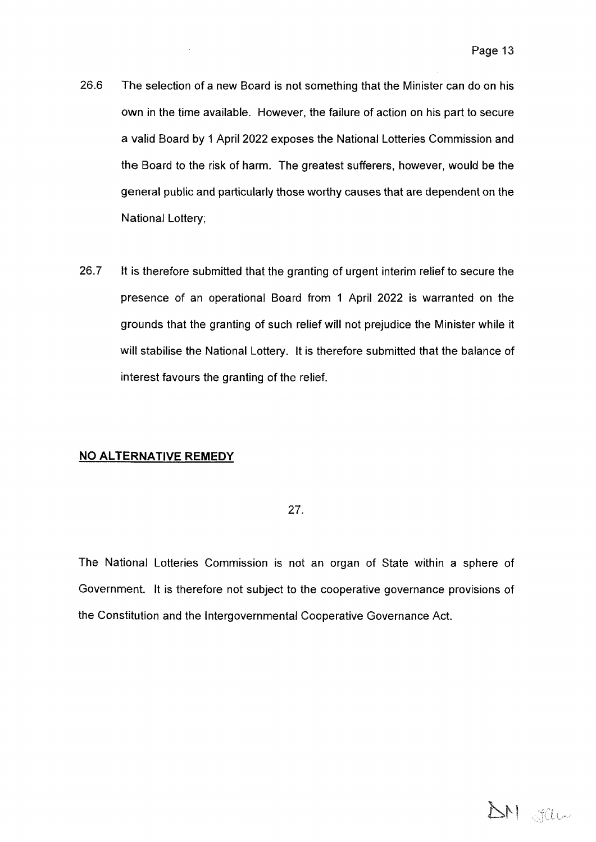- *26.6 The selection of <sup>a</sup> new Board is not something that the Minister can do on his own in the time available. However, the failure of action on his part to secure <sup>a</sup> valid Board by 1 April 2022 exposes the National Lotteries Commission and the Board to the risk of harm. The greatest sufferers, however, would be the general public and particularly those worthy causes that are dependent on the National Lottery;*
- *26.7 It is therefore submitted that the granting of urgent interim relief to secure the presence of an operational Board from <sup>1</sup> April <sup>2022</sup> is warranted on the grounds that the granting of such relief will not prejudice the Minister while it will stabilise the National Lottery. It is therefore submitted that the balance of interest favours the granting of the relief.*

### *NO ALTERNATIVE REMEDY*

*27.*

*The National Lotteries Commission is not an organ of State within <sup>a</sup> sphere of Government. It is therefore not subject to the cooperative governance provisions of the Constitution and the Intergovernmental Cooperative Governance Act.*

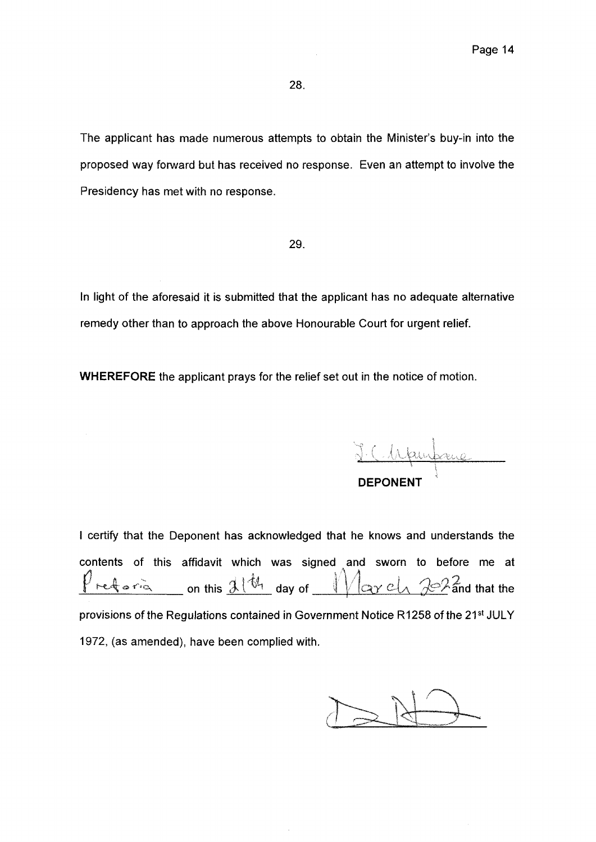*The applicant has made numerous attempts to obtain the Minister'<sup>s</sup> buy-in into the proposed way forward but has received no response. Even an attempt to involve the Presidency has met with no response.*

*29.*

*In light of the aforesaid it is submitted that the applicant has no adequate alternative remedy other than to approach the above Honourable Court for urgent relief.*

*WHEREFORE the applicant prays for the relief set out in the notice of motion.*

*DEPONENT*

*I certify that the Deponent has acknowledged that he knows and understands the contents of this affidavit which was signed and sworn to before me at*  $\sqrt{2}$   $\alpha$   $\alpha$   $\alpha$   $\alpha$   $\alpha$   $\beta$   $\alpha$   $\beta$   $\alpha$   $\beta$   $\alpha$   $\beta$   $\alpha$   $\beta$   $\alpha$   $\beta$   $\alpha$   $\beta$   $\alpha$   $\beta$   $\alpha$   $\beta$   $\alpha$   $\beta$   $\alpha$   $\beta$   $\alpha$   $\beta$   $\alpha$   $\beta$   $\alpha$   $\beta$   $\alpha$   $\beta$   $\alpha$   $\beta$   $\alpha$   $\beta$   $\alpha$   $\beta$   $\alpha$   $\beta$   $\alpha$ *provisions of the Regulations contained in Government Notice R1258 of the 21st JULY 1972, (as amended), have been complied with.*  $\alpha$  *on this*  $\frac{1}{2}$   $\frac{1}{6}$   $\frac{4}{1}$  day of  $\frac{1}{2}$